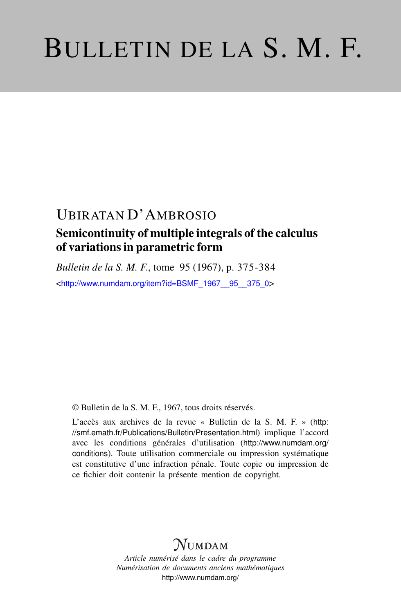# BULLETIN DE LA S. M. F.

## UBIRATAN D'AMBROSIO Semicontinuity of multiple integrals of the calculus of variations in parametric form

*Bulletin de la S. M. F.*, tome 95 (1967), p. 375-384 <[http://www.numdam.org/item?id=BSMF\\_1967\\_\\_95\\_\\_375\\_0](http://www.numdam.org/item?id=BSMF_1967__95__375_0)>

© Bulletin de la S. M. F., 1967, tous droits réservés.

L'accès aux archives de la revue « Bulletin de la S. M. F. » ([http:](http://smf.emath.fr/Publications/Bulletin/Presentation.html) [//smf.emath.fr/Publications/Bulletin/Presentation.html](http://smf.emath.fr/Publications/Bulletin/Presentation.html)) implique l'accord avec les conditions générales d'utilisation ([http://www.numdam.org/](http://www.numdam.org/conditions) [conditions](http://www.numdam.org/conditions)). Toute utilisation commerciale ou impression systématique est constitutive d'une infraction pénale. Toute copie ou impression de ce fichier doit contenir la présente mention de copyright.

## NUMDAM

*Article numérisé dans le cadre du programme Numérisation de documents anciens mathématiques* <http://www.numdam.org/>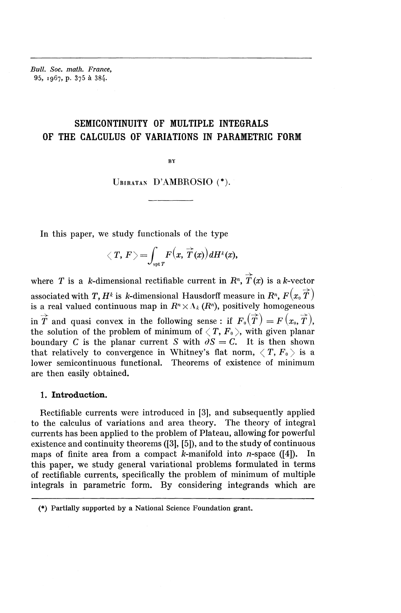*Bull. Soc. math. France,* 95, 1967, p. 375 à 384.

### SEMICONTINUITY OF MULTIPLE INTEGRALS OF THE CALCULUS OF VARIATIONS IN PARAMETRIC FORM

**BY**

#### UBIRATAN D'AMBROSIO<sup>(\*)</sup>.

In this paper, we study functionals of the type

$$
\langle T, F \rangle = \int_{\text{spt } T} F(x, \overrightarrow{T}(x)) dH^{k}(x),
$$

where *T* is a *k*-dimensional rectifiable current in  $R^n$ ,  $\overrightarrow{T}(x)$  is a *k*-vector associated with T,  $H^k$  is *k*-dimensional Hausdorff measure in  $R^n$ ,  $F(x_0 \overrightarrow{T})$ is a real valued continuous map in  $R<sup>n</sup> \times \Lambda_k$  ( $R<sup>n</sup>$ ), positively homogeneous in  $\overrightarrow{T}$  and quasi convex in the following sense: if  $F_0(\overrightarrow{T}) = F(x_0, \overrightarrow{T})$ , the solution of the problem of minimum of  $\langle T, F_0 \rangle$ , with given planar boundary C is the planar current S with  $\partial S = C$ . It is then shown that relatively to convergence in Whitney's flat norm,  $\langle T, F_0 \rangle$  is a lower semicontinuous functional. Theorems of existence of minimum are then easily obtained.

#### **1. Introduction.**

Rectifiable currents were introduced in [3], and subsequently applied to the calculus of variations and area theory. The theory of integral currents has been applied to the problem of Plateau, allowing for powerful existence and continuity theorems ([3], [5]), and to the study of continuous maps of finite area from a compact k-manifold into  $n$ -space ([4]). In this paper, we study general variational problems formulated in terms of rectifiable currents, specifically the problem of minimum of multiple integrals in parametric form. By considering integrands which are

<sup>(\*)</sup> Partially supported by a National Science Foundation grant.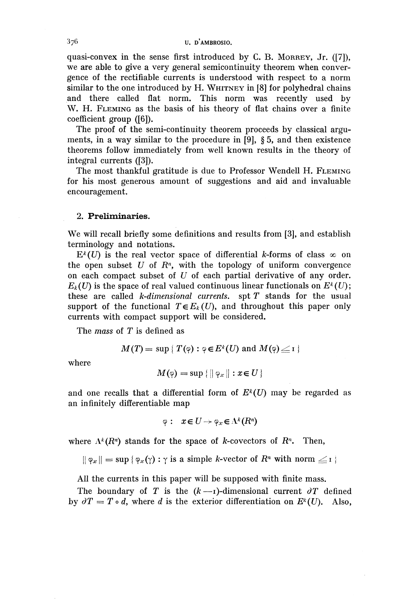#### $376$  U. D'AMBROSIO.

quasi-convex in the sense first introduced by C. B. MORREY, Jr. ([7]), we are able to give a very general semicontinuity theorem when convergence of the rectifiable currents is understood with respect to a norm similar to the one introduced by H. WHITNEY in [8] for polyhedral chains and there called flat norm. This norm was recently used by W. H. FLEMING as the basis of his theory of flat chains over a finite coefficient group ([6]).

The proof of the semi-continuity theorem proceeds by classical arguments, in a way similar to the procedure in [9], § 5, and then existence theorems follow immediately from well known results in the theory of integral currents ([3]).

The most thankful gratitude is due to Professor Wendell H. FLEMING for his most generous amount of suggestions and aid and invaluable encouragement.

#### **2. Preliminaries.**

We will recall briefly some definitions and results from [3], and establish terminology and notations.

 $E^k(U)$  is the real vector space of differential k-forms of class  $\infty$  on the open subset  $U$  of  $R<sup>n</sup>$ , with the topology of uniform convergence on each compact subset of *U* of each partial derivative of any order.  $E_k(U)$  is the space of real valued continuous linear functionals on  $E^k(U)$ ; these are called *k-dimensional currents,* spt T stands for the usual support of the functional  $T \in E_k(U)$ , and throughout this paper only currents with compact support will be considered.

The *mass* of *T* is defined as

$$
M(T) = \sup \{ T(\varphi) : \varphi \in E^k(U) \text{ and } M(\varphi) \leq 1 \}
$$

where

$$
M(\varphi) = \sup \{ \| \varphi_x \| : x \in U \}
$$

and one recalls that a differential form of  $E^k(U)$  may be regarded as an infinitely differentiable map

$$
\varphi: x \in U \to \varphi_x \in \Lambda^k(R^n)
$$

where  $\Lambda^k(R^n)$  stands for the space of *k*-covectors of  $R^n$ . Then,

 $|| \varphi_x || = \sup \{ \varphi_x(\gamma) : \gamma \text{ is a simple } k \text{-vector of } R^n \text{ with norm } \leq 1 \}$ 

All the currents in this paper will be supposed with finite mass.

The boundary of T is the  $(k-1)$ -dimensional current  $\partial T$  defined by  $\partial T = T \circ d$ , where *d* is the exterior differentiation on  $E^k(U)$ . Also,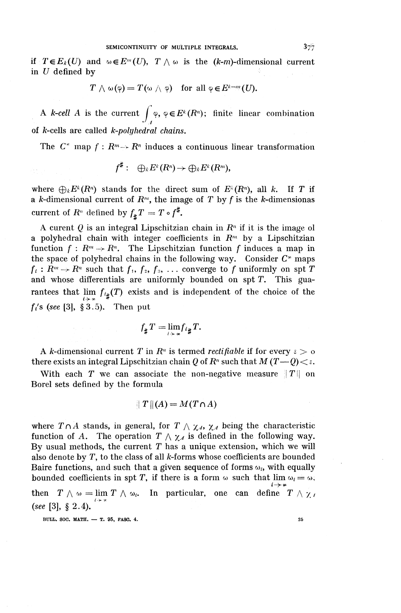#### SEMICONTINUITY OF MULTIPLE INTEGRALS.  $3\frac{7}{7}$

if  $T \in E_k(U)$  and  $\omega \in E^m(U)$ ,  $T \wedge \omega$  is the (k-m)-dimensional current in  $U$  defined by

$$
T \wedge \omega(\varphi) = T(\omega \wedge \varphi) \quad \text{for all } \varphi \in E^{k-m}(U).
$$

A *k*-cell A is the current  $\int \varphi$ ,  $\varphi \in E^k(R^n)$ ; finite linear combination  $J_{\scriptscriptstyle\mathcal{A}}$ of A-cells are called *k-polyhedral chains.*

The  $C^*$  map  $f: R^m \rightarrow R^n$  induces a continuous linear transformation

$$
f^{\sharp}: \quad \bigoplus_{k} E^{k}(R^{n}) \rightarrow \bigoplus_{k} E^{k}(R^{m}),
$$

where  $\bigoplus_k E^k(R^n)$  stands for the direct sum of  $E^k(R^n)$ , all k. If T if a k-dimensional current of  $R<sup>m</sup>$ , the image of T by f is the k-dimensionas current of  $R^n$  defined by  $f_{\sharp}T = T \circ f^{\sharp}$ .

A curent  $Q$  is an integral Lipschitzian chain in  $R<sup>n</sup>$  if it is the image of a polyhedral chain with integer coefficients in  $R^m$  by a Lipschitzian function  $f : R^m \to R^n$ . The Lipschitzian function  $f$  induces a map in function  $f: R^m \to R^n$ . The Lipschitzian function f induces a map in the space of polyhedral chains in the following way. Consider  $C^*$  maps the space of polyhedral chains in the following way. Consider  $C^*$  maps  $f_i : R^m \to R^n$  such that  $f_1, f_2, f_3, \ldots$  converge to  $f$  uniformly on spt  $T$ and whose differentials are uniformly bounded on  $spt T$ . This guarantees that  $\lim_{i\to\infty} f_{i\#}(T)$  exists and is independent of the choice of the  $f_i$ 's (see [3], § 3.5). Then put

$$
f_{\sharp} T = \lim_{i \to \infty} f_{i_{\sharp}} T.
$$

A *k*-dimensional current T in  $R^n$  is termed *rectifiable* if for every  $\epsilon > 0$ there exists an integral Lipschitzian chain Q of  $R<sup>n</sup>$  such that  $M(T-Q)<\varepsilon$ .

With each T we can associate the non-negative measure  $||T||$  on Borel sets defined by the formula

$$
\|T\|(A) = M(T \cap A)
$$

where  $T \cap A$  stands, in general, for  $T \wedge \chi_A$ ,  $\chi_A$  being the characteristic function of A. The operation  $T \wedge \chi_A$  is defined in the following way. By usual methods, the current *T* has a unique extension, which we will also denote by  $T$ , to the class of all  $k$ -forms whose coefficients are bounded Baire functions, and such that a given sequence of forms  $\omega_i$ , with equally bounded coefficients in spt T, if there is a form  $\omega$  such that  $\lim \omega_i = \omega$ ,  $i\rightarrow\infty$ then  $T \wedge \omega = \lim_{k \to \infty} T \wedge \omega_k$ . In particular, one can define  $T \wedge \gamma$  /

*(see* [3], § 2.4).

BULL. SOC. MATH. — T. 95, FASO. 4. 25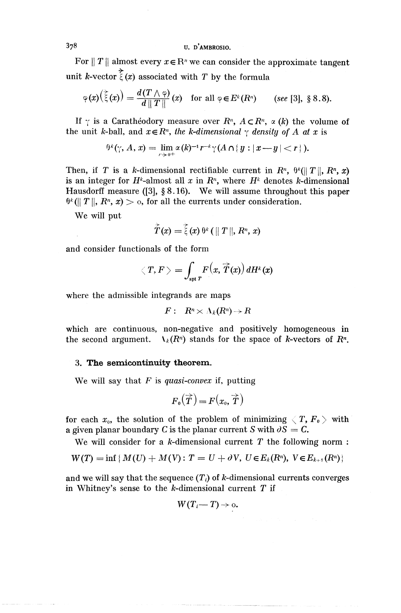*^* U. D'AMBROSIO.

For  $||T||$  almost every  $x \in \mathbb{R}^n$  we can consider the approximate tangent

unit k-vector 
$$
\bar{\xi}(x)
$$
 associated with T by the formula  
\n
$$
\varphi(x)(\bar{\xi}(x)) = \frac{d(T \wedge \varphi)}{d \|T\|} (x) \text{ for all } \varphi \in E^k(R^n) \quad \text{(see [3], § 8.8)}.
$$

If  $\gamma$  is a Caratheodory measure over  $R^n$ ,  $A \subset R^n$ ,  $\alpha$  (k) the volume of the unit *k*-ball, and  $x \in R^n$ , the *k-dimensional*  $\gamma$  density of A at x is

$$
\theta^k(\gamma, A, x) = \lim_{r \to 0^+} \alpha(k)^{-1} r^{-k} \gamma(A \cap \{y : |x-y| < r\}).
$$

Then, if *T* is a *k*-dimensional rectifiable current in  $R^n$ ,  $\theta^k(||T||, R^n, x)$ is an integer for  $H^k$ -almost all x in  $R^n$ , where  $H^k$  denotes k-dimensional Hausdorff measure ([3],  $\S 8.16$ ). We will assume throughout this paper **Frausdorf** measure ([5],  $\hat{g}$  o. for. we will assume throughor  $\theta^k$  ( $||T||$ ,  $R^n$ ,  $x$ )  $>$  o, for all the currents under consideration.

We will put

$$
\overset{\succ}{T}(x)=\overset{\succ}{\xi}(x)\ ^{\theta^{k}}\left(\parallel T\parallel,R^{n},\,x\right)
$$

and consider functionals of the form

$$
\langle T, F \rangle = \int_{\text{spr } T} F(x, \overrightarrow{T}(x)) dH^{k}(x)
$$

where the admissible integrands are maps

$$
F: R^n \times \Lambda_k(R^n) \to R
$$

which are continuous, non-negative and positively homogeneous in the second argument.  $\Lambda_k(R^n)$  stands for the space of k-vectors of  $R^n$ .

#### 3. The semicontinuity theorem.

We will say that *F* is *quasi-convex* if, putting

$$
F_{\mathfrak{o}}(\overrightarrow{T})\!=\!F\big(x_{\mathfrak{o}}, \overrightarrow{T}\big)
$$

for each  $x_0$ , the solution of the problem of minimizing  $\langle T, F_0 \rangle$  with a given planar boundary C is the planar current S with  $\partial S = C$ .

We will consider for a  $k$ -dimensional current  $T$  the following norm :

$$
W(T) = \inf \{ M(U) + M(V) : T = U + \partial V, \ U \in E_k(R^n), \ V \in E_{k+1}(R^n) \}
$$

and we will say that the sequence  $(T_i)$  of k-dimensional currents converges in Whitney's sense to the  $k$ -dimensional current  $T$  if

$$
W(T_i \rightarrow T) \rightarrow 0.
$$

*3*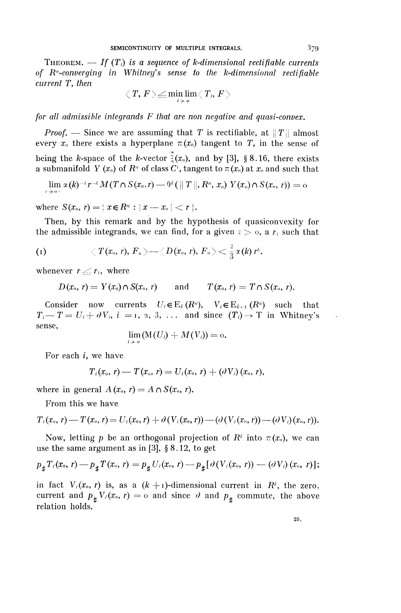THEOREM.  $-If(T_i)$  is a sequence of k-dimensional rectifiable currents *of R^-conuerging in Whitney's sense to the k-dimensional rectifiable current* T, *then*

$$
\big\langle\,T,\,F\,\big\rangle\!\leq\!\min_{i\,\!\rightarrow\,\!\infty}\lim\limits_{\mathcal{I}}\big\langle\,T_{i},\,F\,\big\rangle
$$

for all admissible integrands F that are non negative and quasi-convex.

*Proof.* — Since we are assuming that T is rectifiable, at  $||T||$  almost every  $x_0$  there exists a hyperplane  $\pi(x_0)$  tangent to T, in the sense of being the k-space of the k-vector  $\tilde{\zeta}(x_0)$ , and by [3], §8.16, there exists a submanifold Y  $(x_0)$  of  $R^n$  of class C<sup>1</sup>, tangent to  $\pi(x_0)$  at  $x_0$  and such that

$$
\lim_{r\rightarrow \,0^+}\alpha\left(k\right)^{-1}r^{-k}M(T\cap S(x_0,r)\longrightarrow^{0^k}(\parallel T\parallel,R^n,\,x_{_0})\,\,Y(x_{_0})\cap S(x_0,\,r))=0
$$

where  $S(x_0, r) = \{ x \in R^n : |x - x_0| < r \}.$ 

Then, by this remark and by the hypothesis of quasiconvexity for the admissible integrands, we can find, for a given  $\varepsilon > 0$ , a  $r_1$  such that

$$
\text{(t)}\qquad \qquad \langle \ T(x_\shortparallel,\, r),\, F_\shortparallel \,\rangle \text{---} \langle \, D(x_\shortparallel,\, r),\, F_\shortparallel \,\rangle \text{---} \, \frac{z}{3}\, \alpha(k)\, r^k.
$$

whenever  $r \leq r_1$ , where

 $D(x_0, r) = Y(x_0) \cap S(x_0, r)$  and  $T(x_0, r) = T \cap S(x_0, r).$ 

Consider now currents  $U_i \in E_k(R^n)$ ,  $V_i \in E_{k+1}(R^n)$  such that Consider now currents  $U_i \in E_k(R^n)$ ,  $V_i \in E_{k+1}(R^n)$  such that  $T_i \rightarrow T = U_i + \partial V_i$ ,  $i = 1, 2, 3, ...$  and since  $(T_i) \rightarrow T$  in Whitney's sense,

$$
\lim_{i\to\infty} (\mathop{\rm M}\nolimits(U_i) + M(V_i)) = {\rm o}.
$$

For each i, we have

$$
T_i(x_0, r) = T(x_0, r) = U_i(x_0, r) + (\partial V_i)(x_0, r),
$$

where in general  $A(x_0, r) = A \cap S(x_0, r)$ .

From this we have

$$
T_i(x_0,r)=T(x_0,r)=U_i(x_0,r)+\partial\left(V_i(x_0,r)\right)-\left(\partial\left(V_i(x_0,r)\right)-\left(\partial\left(V_i\right)(x_0,r)\right)\right).
$$

Now, letting p be an orthogonal projection of  $R^k$  into  $\tau(x_0)$ , we can use the same argument as in [3], § 8.12, to get

$$
p_{\#}T_i(x_0, r) - p_{\#}T(x_0, r) = p_{\#}U_i(x_0, r) - p_{\#}[\partial(V_i(x_0, r)) - (\partial V_i)(x_0, r)];
$$

in fact  $V_i(x_0, r)$  is, as a  $(k + 1)$ -dimensional current in  $R^k$ , the zero current and  $p_{\sharp} V_i(x_0, r) = o$  and since  $\partial$  and  $p_{\sharp}$  commute, the above relation holds.

25.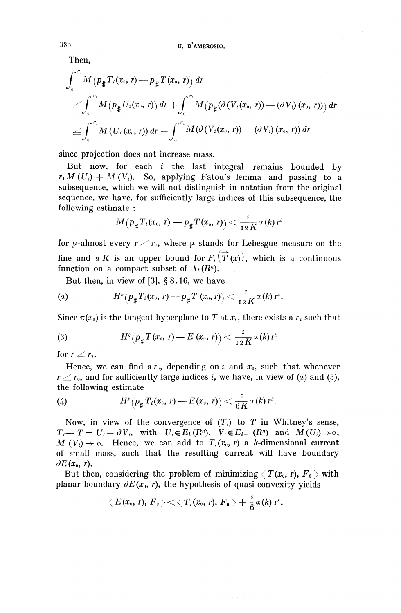Then,

$$
\begin{aligned}\n &\text{U. } \mathbf{D}^{\prime} \mathbf{AMBROSIO.} \\
&\text{Then,} \\
&\int_{0}^{r_{1}} M\left(p_{\#} T_{i}(x_{0}, r) - p_{\#} T(x_{0}, r)\right) dr \\
&\leq & \int_{0}^{r_{1}} M\left(p_{\#} U_{i}(x_{0}, r)\right) dr + \int_{0}^{r_{1}} M\left(p_{\#} (\partial \left(V_{i}(x_{0}, r)\right) - (\partial V_{i}) (x_{0}, r)\right)) dr \\
&\leq & \int_{0}^{r_{1}} M\left(U_{i}(x_{0}, r)\right) dr + \int_{0}^{r_{1}} M(\partial \left(V_{i}(x_{0}, r)\right) - (\partial V_{i}) (x_{0}, r)) dr\n \end{aligned}
$$

since projection does not increase mass.

But now, for each *i* the last integral remains bounded by  $r<sub>1</sub>M (U<sub>i</sub>) + M (V<sub>i</sub>)$ . So, applying Fatou's lemma and passing to a subsequence, which we will not distinguish in notation from the original sequence, we have, for sufficiently large indices of this subsequence, the following estimate :

$$
\begin{array}{l} \text{rate}: \\ M\big(p_\# T_i(x_\text{o},\, r) \mathop{\longrightarrow} P_\# T(x_\text{o},\, r)\big) \mathop{<}\frac{\varepsilon}{\scriptstyle{1\, 2\, K}}\, \alpha\left(k\right) r^k \end{array}
$$

for  $\mu$ -almost every  $r \leq r_1$ , where  $\mu$  stands for Lebesgue measure on the line and 2 K is an upper bound for  $F_{\theta}(\vec{T}(x))$ , which is a continuous function on a compact subset of  $\Lambda_k(R^n)$ .

But then, in view of [3], § 8.16, we have  
\n(2) 
$$
H^{k}(p_{\sharp}T_{i}(x_{0}, r)-p_{\sharp}T(x_{0}, r)) < \frac{\varepsilon}{12K}\alpha(k) r^{k}.
$$

Since 
$$
\pi(x_0)
$$
 is the tangent hyperplane to  $T$  at  $x_0$ , there exists a  $r_2$  such that  
\n(3)  $H^k(p_{\sharp}T(x_0, r) - E(x_0, r)) < \frac{\varepsilon}{12K} \alpha(k) r^k$ 

for  $r \leq r_{2}$ .

Hence, we can find a  $r_0$ , depending on  $\varepsilon$  and  $x_0$ , such that whenever  $r \leq r_0$ , and for sufficiently large indices i, we have, in view of (2) and (3),

the following estimate  
\n(4) 
$$
H^k(p_{\sharp} T_i(x_0, r) - E(x_0, r)) < \frac{\varepsilon}{6K} \alpha(k) r^k
$$
.

Now, in view of the convergence of  $(T_i)$  to T in Whitney's sense,  $T_i-T=U_i+\partial V_i$ , with  $U_i\in E_k(R^n)$ ,  $V_i\in E_{k+1}(R^n)$  and  $M(U_i)\rightarrow 0$ ,  $M_v(V_i) \to 0$ . Hence, we can add to  $T_i(x_0, r)$  a k-dimensional current of small mass, such that the resulting current will have boundary  $\partial E(x_0, r)$ .

But then, considering the problem of minimizing  $\langle T(x_0, r), F_0 \rangle$  with planar boundary  $\partial E(x_0, r)$ , the hypothesis of quasi-convexity yields<br>  $\langle E(x_0, r), F_0 \rangle \langle T_i(x_0, r), F_0 \rangle + \frac{z}{6} \alpha(k) r^k$ .

$$
\big\langle\, E(x_\text{\tiny 0},\, r),\, F_\text{\tiny 0}\,\big\rangle\!<\!\big\langle\, T_i(x_\text{\tiny 0},\, r),\, F_\text{\tiny 0}\,\big\rangle+\frac{\varepsilon}{6}\,\alpha\langle k\rangle\,r^\kappa.
$$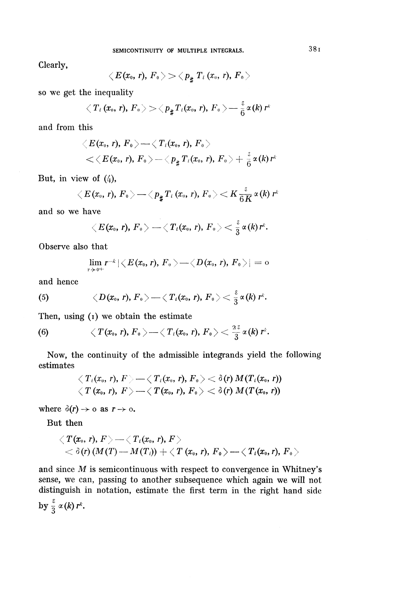Clearly,

$$
\left\langle \!\!{\,}^{\mathop{}\limits_{}}_{\mathop{}\limits^{}}\right. \! E(x_0,\, r),\, F_{\mathfrak{g}} \left. \!\!{\,}^{\mathop{}\limits_{}}_{\mathop{}\limits^{}}\right\rangle \!>\, <\, \! p_{\sharp} \; T_{\mathfrak{i}} \left(x_{\mathfrak{g}},\, r\right)\!,\, F_{\mathfrak{g}} \left. \!\!{\,}^{\mathop{}\limits_{}}_{\mathop{}\limits^{}}\right\rangle
$$

so we get the inequality

$$
\big\langle \, T_{\,i} \, (x_{\scriptscriptstyle 0}, \, r), \, F_{\,{{\scriptscriptstyle 0}}} \, \big\rangle \! > \! \big\langle \, p_{\frac{a}{2}} T_{\,i} (x_{\scriptscriptstyle 0}, \, r), \, F_{\,{{\scriptscriptstyle 0}}} \, \big\rangle \! \! \! \! \! - \! \frac{\varepsilon}{6} \, \alpha(k) \, r^{\scriptscriptstyle k}
$$

and from this

$$
\langle E(x_0, r), F_0 \rangle - \langle T_i(x_0, r), F_0 \rangle
$$
  

$$
\langle \langle E(x_0, r), F_0 \rangle - \langle p_{\sharp} T_i(x_0, r), F_0 \rangle + \frac{z}{6} \alpha(k) r^k
$$

But, in view of  $(4)$ ,

$$
\langle E(x_0, r), F_0 \rangle \longrightarrow \langle p_{\frac{a}{4}} T_i(x_0, r), F_0 \rangle \langle K \frac{z}{6K} \alpha(k) r^k
$$

and so we have

we  

$$
\langle E(x_0, r), F_0 \rangle = \langle T_i(x_0, r), F_0 \rangle < \frac{\varepsilon}{3} \alpha(k) r^k.
$$

Observe also that

$$
\lim_{r\to 0^+}r^{-k}|\big\langle E(x_0,r),\,F_{0}\,\big\rangle-\big\langle D(x_0,\,r),\,F_{0}\,\big\rangle|=o
$$

and hence

and hence  
(5) 
$$
\langle D(x_0, r), F_0 \rangle \longrightarrow \langle T_i(x_0, r), F_0 \rangle \leq \frac{\varepsilon}{3} \alpha(k) r^k
$$
.

Then, using  $(i)$  we obtain the estimate

(6) 
$$
\langle T(x_0, r), F_0 \rangle \longrightarrow \langle T_i(x_0, r), F_0 \rangle \langle \frac{2\zeta}{3} \alpha(k) r^k.
$$

Now, the continuity of the admissible integrands yield the following estimates

$$
\left\langle T_i(x_0,\,r),\,F\right\rangle-\left\langle T_i(x_0,\,r),\,F_0\right\rangle<\delta(r)\,M(T_i(x_0,\,r))\\ \left\langle\,T\,(x_0,\,r),\,\,F\right\rangle-\left\langle\,T(x_0,\,r),\,F_0\right\rangle<\delta(r)\,M(T(x_0,\,r))
$$

where  $\partial(r) \rightarrow o$  as  $r \rightarrow o$ .

But then

$$
\begin{array}{l} \left\langle \, T(x_0,\, r),\, F \,\right\rangle - \left\langle \, T_i(x_0,\, r),\, F \,\right\rangle \\ \hspace{2cm} < \delta(r)\left( M(T) - M(T_i) \right) + \left\langle \, T\left( x_0,\, r\right) ,\, F_0 \,\right\rangle - \left\langle \, T_i(x_0,\, r),\, F_0 \,\right\rangle \end{array}
$$

and since *M* is semicontinuous with respect to convergence in Whitney's sense, we can, passing to another subsequence which again we will not distinguish in notation, estimate the first term in the right hand side by  $\frac{\varepsilon}{3}\alpha(k)r^k$ .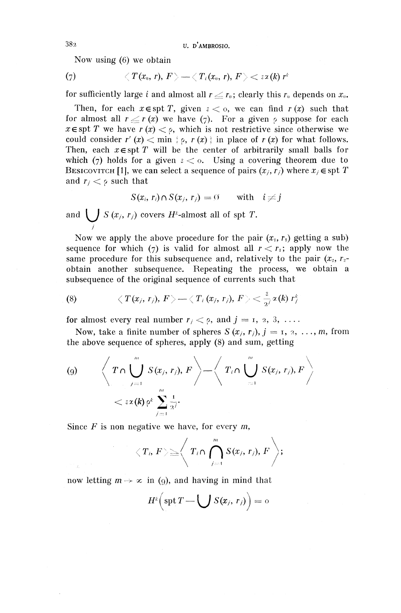382 U. D'AMBROSIO.

Now using (6) we obtain

(7) 
$$
\langle T(x_0, r), F \rangle \longrightarrow \langle T_i(x_0, r), F \rangle \langle z \rangle
$$

for sufficiently large *i* and almost all  $r \leq r_0$ ; clearly this  $r_0$  depends on  $x_0$ .

Then, for each  $x \in \text{spt } T$ , given  $z < 0$ , we can find  $r(x)$  such that for almost all  $r \le r (x)$  we have (7). For a given p suppose for each  $x \in \text{spt } T$  we have  $r(x) < \rho$ , which is not restrictive since otherwise we could consider  $r'(x) < \min \{ \varphi, r(x) \}$  in place of  $r(x)$  for what follows. Then, each  $x \in spt$  T will be the center of arbitrarily small balls for which (7) holds for a given  $s < 0$ . Using a covering theorem due to BESICOVITCH [1], we can select a sequence of pairs  $(x_i, r_i)$  where  $x_i \in \text{spt } T$ and  $r_i < \rho$  such that

$$
S(x_i, r_i) \cap S(x_j, r_j) = \emptyset \quad \text{with} \quad i \neq j
$$

and  $\bigcup S(x_j, r_j)$  covers  $H^k$ -almost all of spt T.

Now we apply the above procedure for the pair  $(x_1, r_1)$  getting a sub) sequence for which (7) is valid for almost all  $r < r<sub>1</sub>$ ; apply now the same procedure for this subsequence and, relatively to the pair  $(x_2, r_2)$ obtain another subsequence. Repeating the process, we obtain a

subsequence of the original sequence of currents such that  
\n(8) 
$$
\langle T(x_j, r_j), F \rangle \sim \langle T_i(x_j, r_j), F \rangle \leq \frac{z}{2^j} \alpha(k) r_j^k
$$

for almost every real number  $r_j < \rho$ , and  $j = 1, 2, 3, \ldots$ .

Now, take a finite number of spheres  $S(x_i, r_i)$ ,  $j = 1, 2, \ldots, m$ , from the above sequence of spheres, apply (8) and sum, getting

$$
(9) \qquad \left\langle T \cap \bigcup_{j=1}^{m} S(x_j, r_j), F \right\rangle = \left\langle T_i \cap \bigcup_{j=1}^{m} S(x_j, r_j), F \right\rangle
$$
  

$$
< \epsilon \alpha \left\langle K \right\rangle \rho^k \sum_{j=1}^{m} \frac{1}{2^j}.
$$

Since  $F$  is non negative we have, for every  $m$ ,

$$
\langle T_i, F \rangle \geq \left\langle T_i \cap \bigcap_{j=1}^m S(x_j, r_j), F \right\rangle;
$$

now letting  $m \to \infty$  in (9), and having in mind that

$$
H^k\Big(\operatorname{spt} T-\bigcup S(x_j,\,r_j)\Big)=0
$$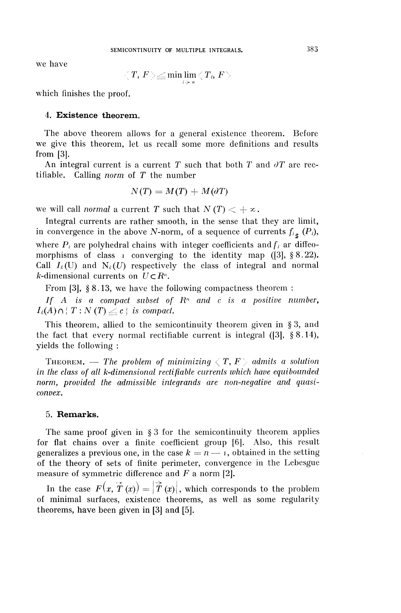we have

$$
\big\langle\,T,\,F\,\big\rangle\!\leq\!\min\!\lim_{i\textcolor{black}{\rightarrow}\,\mathtt{z}}\big\langle\,T_{i},\,F\,\big\rangle
$$

which finishes the proof.

#### 4. Existence theorem.

The above theorem allows for a general existence theorem. Before we give this theorem, let us recall some more definitions and results from [3].

An integral current is a current T such that both T and  $\partial T$  are rectifiable. Calling *norm* of T the number

$$
N(T) = M(T) + M(\partial T)
$$

we will call *normal* a current T such that  $N(T) < +\infty$ .

Integral currents are rather smooth, in the sense that they are limit, in convergence in the above N-norm, of a sequence of currents  $f_{i*}$  ( $P_i$ ), where  $P_i$  are polyhedral chains with integer coefficients and  $f_i$  ar diffeomorphisms of class  $\bar{1}$  converging to the identity map ([3], §8.22). Call  $I_k(U)$  and  $N_k(U)$  respectively the class of integral and normal *k*-dimensional currents on  $U \subset R^n$ .

From [3], §8.13, we have the following compactness theorem :

*If*  $A$  is a compact subset of  $R^n$  and c is a positive number,  $I_k(A) \cap \{T : N(T) \leq c \}$  is compact.

This theorem, allied to the semicontinuity theorem given in § 3, and the fact that every normal rectifiable current is integral  $(3]$ , §8.14), yields the following :

THEOREM. — The problem of minimizing  $\langle T, F \rangle$  admits a solution *in the class of alt k-dimensional rectifiable currents which have equibounded norm, provided the admissible integrands are non-negative and quasiconvex.*

#### **5. Remarks.**

The same proof given in § 3 for the semicontinuity theorem applies for flat chains over a finite coefficient group [6]. Also, this result generalizes a previous one, in the case  $k = n - i$ , obtained in the setting of the theory of sets of finite perimeter, convergence in the Lebesgue measure of symmetric difference and *F* a norm [2].

In the case  $F(x, \vec{T}(x)) = |\vec{T}(x)|$ , which corresponds to the problem of minimal surfaces, existence theorems, as well as some regularity theorems, have been given in [3] and [5].